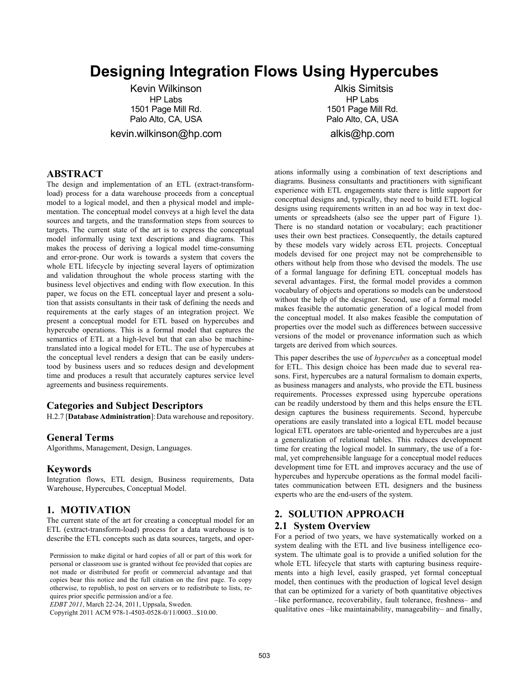# **Designing Integration Flows Using Hypercubes**

Kevin Wilkinson HP Labs 1501 Page Mill Rd. Palo Alto, CA, USA kevin.wilkinson@hp.com

**ABSTRACT**

The design and implementation of an ETL (extract-transformload) process for a data warehouse proceeds from a conceptual model to a logical model, and then a physical model and implementation. The conceptual model conveys at a high level the data sources and targets, and the transformation steps from sources to targets. The current state of the art is to express the conceptual model informally using text descriptions and diagrams. This makes the process of deriving a logical model time-consuming and error-prone. Our work is towards a system that covers the whole ETL lifecycle by injecting several layers of optimization and validation throughout the whole process starting with the business level objectives and ending with flow execution. In this paper, we focus on the ETL conceptual layer and present a solution that assists consultants in their task of defining the needs and requirements at the early stages of an integration project. We present a conceptual model for ETL based on hypercubes and hypercube operations. This is a formal model that captures the semantics of ETL at a high-level but that can also be machinetranslated into a logical model for ETL. The use of hypercubes at the conceptual level renders a design that can be easily understood by business users and so reduces design and development time and produces a result that accurately captures service level agreements and business requirements.

#### **Categories and Subject Descriptors**

H.2.7 [**Database Administration**]:Data warehouse and repository.

## **General Terms**

Algorithms, Management, Design, Languages.

#### **Keywords**

Integration flows, ETL design, Business requirements, Data Warehouse, Hypercubes, Conceptual Model.

#### **1. MOTIVATION**

The current state of the art for creating a conceptual model for an ETL (extract-transform-load) process for a data warehouse is to describe the ETL concepts such as data sources, targets, and oper-

Permission to make digital or hard copies of all or part of this work for personal or classroom use is granted without fee provided that copies are not made or distributed for profit or commercial advantage and that copies bear this notice and the full citation on the first page. To copy otherwise, to republish, to post on servers or to redistribute to lists, requires prior specific permission and/or a fee.

*EDBT 2011*, March 22-24, 2011, Uppsala, Sweden.

Copyright 2011 ACM 978-1-4503-0528-0/11/0003...\$10.00.

 Alkis Simitsis HP Labs 1501 Page Mill Rd. Palo Alto, CA, USA alkis@hp.com

ations informally using a combination of text descriptions and diagrams. Business consultants and practitioners with significant experience with ETL engagements state there is little support for conceptual designs and, typically, they need to build ETL logical designs using requirements written in an ad hoc way in text documents or spreadsheets (also see the upper part of Figure 1). There is no standard notation or vocabulary; each practitioner uses their own best practices. Consequently, the details captured by these models vary widely across ETL projects. Conceptual models devised for one project may not be comprehensible to others without help from those who devised the models. The use of a formal language for defining ETL conceptual models has several advantages. First, the formal model provides a common vocabulary of objects and operations so models can be understood without the help of the designer. Second, use of a formal model makes feasible the automatic generation of a logical model from the conceptual model. It also makes feasible the computation of properties over the model such as differences between successive versions of the model or provenance information such as which targets are derived from which sources.

This paper describes the use of *hypercubes* as a conceptual model for ETL. This design choice has been made due to several reasons. First, hypercubes are a natural formalism to domain experts, as business managers and analysts, who provide the ETL business requirements. Processes expressed using hypercube operations can be readily understood by them and this helps ensure the ETL design captures the business requirements. Second, hypercube operations are easily translated into a logical ETL model because logical ETL operators are table-oriented and hypercubes are a just a generalization of relational tables. This reduces development time for creating the logical model. In summary, the use of a formal, yet comprehensible language for a conceptual model reduces development time for ETL and improves accuracy and the use of hypercubes and hypercube operations as the formal model facilitates communication between ETL designers and the business experts who are the end-users of the system.

# **2. SOLUTION APPROACH**

#### **2.1 System Overview**

For a period of two years, we have systematically worked on a system dealing with the ETL and live business intelligence ecosystem. The ultimate goal is to provide a unified solution for the whole ETL lifecycle that starts with capturing business requirements into a high level, easily grasped, yet formal conceptual model, then continues with the production of logical level design that can be optimized for a variety of both quantitative objectives –like performance, recoverability, fault tolerance, freshness– and qualitative ones –like maintainability, manageability– and finally,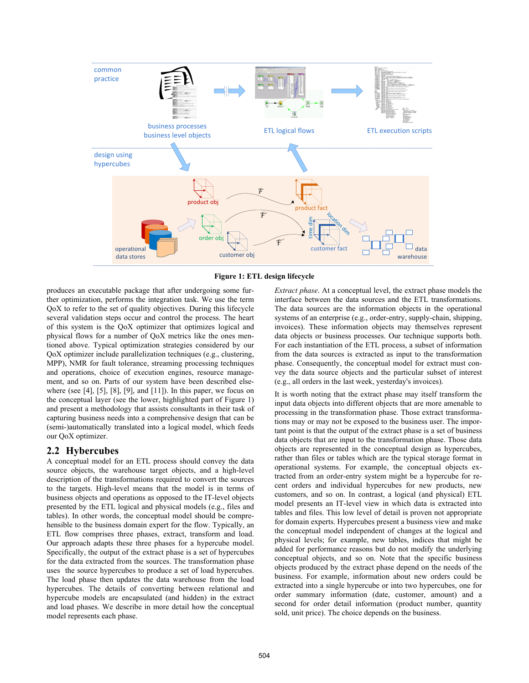

**Figure 1: ETL design lifecycle** 

produces an executable package that after undergoing some further optimization, performs the integration task. We use the term QoX to refer to the set of quality objectives. During this lifecycle several validation steps occur and control the process. The heart of this system is the QoX optimizer that optimizes logical and physical flows for a number of QoX metrics like the ones mentioned above. Typical optimization strategies considered by our QoX optimizer include parallelization techniques (e.g., clustering, MPP), NMR for fault tolerance, streaming processing techniques and operations, choice of execution engines, resource management, and so on. Parts of our system have been described elsewhere (see  $[4]$ ,  $[5]$ ,  $[8]$ ,  $[9]$ , and  $[11]$ ). In this paper, we focus on the conceptual layer (see the lower, highlighted part of Figure 1) and present a methodology that assists consultants in their task of capturing business needs into a comprehensive design that can be (semi-)automatically translated into a logical model, which feeds our QoX optimizer.

# **2.2 Hybercubes**

A conceptual model for an ETL process should convey the data source objects, the warehouse target objects, and a high-level description of the transformations required to convert the sources to the targets. High-level means that the model is in terms of business objects and operations as opposed to the IT-level objects presented by the ETL logical and physical models (e.g., files and tables). In other words, the conceptual model should be comprehensible to the business domain expert for the flow. Typically, an ETL flow comprises three phases, extract, transform and load. Our approach adapts these three phases for a hypercube model. Specifically, the output of the extract phase is a set of hypercubes for the data extracted from the sources. The transformation phase uses the source hypercubes to produce a set of load hypercubes. The load phase then updates the data warehouse from the load hypercubes. The details of converting between relational and hypercube models are encapsulated (and hidden) in the extract and load phases. We describe in more detail how the conceptual model represents each phase.

*Extract phase*. At a conceptual level, the extract phase models the interface between the data sources and the ETL transformations. The data sources are the information objects in the operational systems of an enterprise (e.g., order-entry, supply-chain, shipping, invoices). These information objects may themselves represent data objects or business processes. Our technique supports both. For each instantiation of the ETL process, a subset of information from the data sources is extracted as input to the transformation phase. Consequently, the conceptual model for extract must convey the data source objects and the particular subset of interest (e.g., all orders in the last week, yesterday's invoices).

It is worth noting that the extract phase may itself transform the input data objects into different objects that are more amenable to processing in the transformation phase. Those extract transformations may or may not be exposed to the business user. The important point is that the output of the extract phase is a set of business data objects that are input to the transformation phase. Those data objects are represented in the conceptual design as hypercubes, rather than files or tables which are the typical storage format in operational systems. For example, the conceptual objects extracted from an order-entry system might be a hypercube for recent orders and individual hypercubes for new products, new customers, and so on. In contrast, a logical (and physical) ETL model presents an IT-level view in which data is extracted into tables and files. This low level of detail is proven not appropriate for domain experts. Hypercubes present a business view and make the conceptual model independent of changes at the logical and physical levels; for example, new tables, indices that might be added for performance reasons but do not modify the underlying conceptual objects, and so on. Note that the specific business objects produced by the extract phase depend on the needs of the business. For example, information about new orders could be extracted into a single hypercube or into two hypercubes, one for order summary information (date, customer, amount) and a second for order detail information (product number, quantity sold, unit price). The choice depends on the business.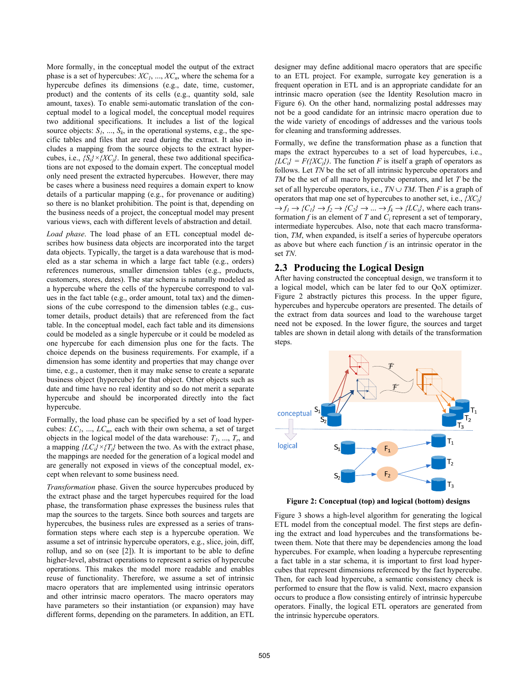More formally, in the conceptual model the output of the extract phase is a set of hypercubes:  $XC_1$ , ...,  $XC_n$ , where the schema for a hypercube defines its dimensions (e.g., date, time, customer, product) and the contents of its cells (e.g., quantity sold, sale amount, taxes). To enable semi-automatic translation of the conceptual model to a logical model, the conceptual model requires two additional specifications. It includes a list of the logical source objects:  $S_1$ , ...,  $S_k$ , in the operational systems, e.g., the specific tables and files that are read during the extract. It also includes a mapping from the source objects to the extract hypercubes, i.e.,  ${S_i} \times {X C_i}$ . In general, these two additional specifications are not exposed to the domain expert. The conceptual model only need present the extracted hypercubes. However, there may be cases where a business need requires a domain expert to know details of a particular mapping (e.g., for provenance or auditing) so there is no blanket prohibition. The point is that, depending on the business needs of a project, the conceptual model may present various views, each with different levels of abstraction and detail.

*Load phase*. The load phase of an ETL conceptual model describes how business data objects are incorporated into the target data objects. Typically, the target is a data warehouse that is modeled as a star schema in which a large fact table (e.g., orders) references numerous, smaller dimension tables (e.g., products, customers, stores, dates). The star schema is naturally modeled as a hypercube where the cells of the hypercube correspond to values in the fact table (e.g., order amount, total tax) and the dimensions of the cube correspond to the dimension tables (e.g., customer details, product details) that are referenced from the fact table. In the conceptual model, each fact table and its dimensions could be modeled as a single hypercube or it could be modeled as one hypercube for each dimension plus one for the facts. The choice depends on the business requirements. For example, if a dimension has some identity and properties that may change over time, e.g., a customer, then it may make sense to create a separate business object (hypercube) for that object. Other objects such as date and time have no real identity and so do not merit a separate hypercube and should be incorporated directly into the fact hypercube.

Formally, the load phase can be specified by a set of load hypercubes:  $LC_1$ , ...,  $LC_m$ , each with their own schema, a set of target objects in the logical model of the data warehouse:  $T_1$ , ...,  $T_r$ , and a mapping  $\langle LC_i \rangle \times \langle T_i \rangle$  between the two. As with the extract phase, the mappings are needed for the generation of a logical model and are generally not exposed in views of the conceptual model, except when relevant to some business need.

*Transformation* phase. Given the source hypercubes produced by the extract phase and the target hypercubes required for the load phase, the transformation phase expresses the business rules that map the sources to the targets. Since both sources and targets are hypercubes, the business rules are expressed as a series of transformation steps where each step is a hypercube operation. We assume a set of intrinsic hypercube operators, e.g., slice, join, diff, rollup, and so on (see [2]). It is important to be able to define higher-level, abstract operations to represent a series of hypercube operations. This makes the model more readable and enables reuse of functionality. Therefore, we assume a set of intrinsic macro operators that are implemented using intrinsic operators and other intrinsic macro operators. The macro operators may have parameters so their instantiation (or expansion) may have different forms, depending on the parameters. In addition, an ETL

designer may define additional macro operators that are specific to an ETL project. For example, surrogate key generation is a frequent operation in ETL and is an appropriate candidate for an intrinsic macro operation (see the Identity Resolution macro in Figure 6). On the other hand, normalizing postal addresses may not be a good candidate for an intrinsic macro operation due to the wide variety of encodings of addresses and the various tools for cleaning and transforming addresses.

Formally, we define the transformation phase as a function that maps the extract hypercubes to a set of load hypercubes, i.e.,  $\langle LC_i \rangle = F(\langle XC_i \rangle)$ . The function *F* is itself a graph of operators as follows. Let *TN* be the set of all intrinsic hypercube operators and *TM* be the set of all macro hypercube operators, and let *T* be the set of all hypercube operators, i.e.,  $TN \cup TM$ . Then *F* is a graph of operators that map one set of hypercubes to another set, i.e., *{XCj}*  $\rightarrow$  *f<sub>1</sub>*  $\rightarrow$  *{C<sub>1</sub>}*  $\rightarrow$  *f<sub>2</sub>*  $\rightarrow$  *{C<sub>2</sub>}*  $\rightarrow$  ...  $\rightarrow$  *f<sub>k</sub>*  $\rightarrow$  *{LC<sub>i</sub>}*, where each transformation  $f$  is an element of  $T$  and  $C_i$  represent a set of temporary, intermediate hypercubes. Also, note that each macro transformation, *TM*, when expanded, is itself a series of hypercube operators as above but where each function  $f$  is an intrinsic operator in the set *TN*.

#### **2.3 Producing the Logical Design**

After having constructed the conceptual design, we transform it to a logical model, which can be later fed to our QoX optimizer. Figure 2 abstractly pictures this process. In the upper figure, hypercubes and hypercube operators are presented. The details of the extract from data sources and load to the warehouse target need not be exposed. In the lower figure, the sources and target tables are shown in detail along with details of the transformation steps.



**Figure 2: Conceptual (top) and logical (bottom) designs** 

Figure 3 shows a high-level algorithm for generating the logical ETL model from the conceptual model. The first steps are defining the extract and load hypercubes and the transformations between them. Note that there may be dependencies among the load hypercubes. For example, when loading a hypercube representing a fact table in a star schema, it is important to first load hypercubes that represent dimensions referenced by the fact hypercube. Then, for each load hypercube, a semantic consistency check is performed to ensure that the flow is valid. Next, macro expansion occurs to produce a flow consisting entirely of intrinsic hypercube operators. Finally, the logical ETL operators are generated from the intrinsic hypercube operators.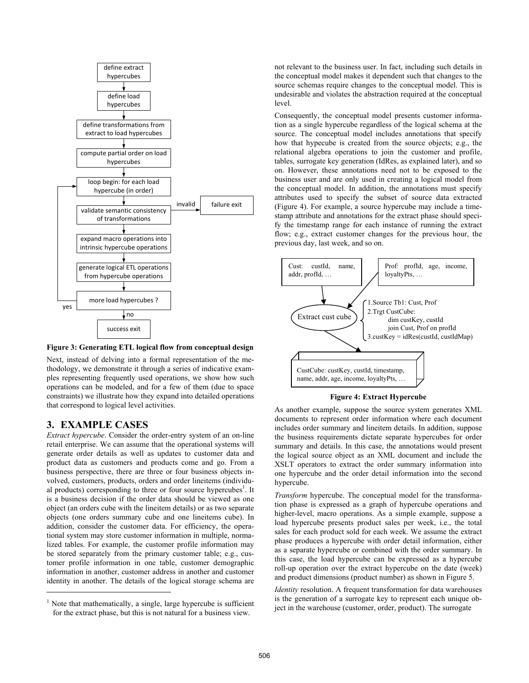

**Figure 3: Generating ETL logical flow from conceptual design** 

Next, instead of delving into a formal representation of the methodology, we demonstrate it through a series of indicative examples representing frequently used operations, we show how such operations can be modeled, and for a few of them (due to space constraints) we illustrate how they expand into detailed operations that correspond to logical level activities.

# **3. EXAMPLE CASES**

1

*Extract hypercube*. Consider the order-entry system of an on-line retail enterprise. We can assume that the operational systems will generate order details as well as updates to customer data and product data as customers and products come and go. From a business perspective, there are three or four business objects involved, customers, products, orders and order lineitems (individual products) corresponding to three or four source hypercubes<sup>1</sup>. It is a business decision if the order data should be viewed as one object (an orders cube with the lineitem details) or as two separate objects (one orders summary cube and one lineitems cube). In addition, consider the customer data. For efficiency, the operational system may store customer information in multiple, normalized tables. For example, the customer profile information may be stored separately from the primary customer table; e.g., customer profile information in one table, customer demographic information in another, customer address in another and customer identity in another. The details of the logical storage schema are

not relevant to the business user. In fact, including such details in the conceptual model makes it dependent such that changes to the source schemas require changes to the conceptual model. This is undesirable and violates the abstraction required at the conceptual level.

Consequently, the conceptual model presents customer information as a single hypercube regardless of the logical schema at the source. The conceptual model includes annotations that specify how that hypecube is created from the source objects; e.g., the relational algebra operations to join the customer and profile, tables, surrogate key generation (IdRes, as explained later), and so on. However, these annotations need not to be exposed to the business user and are only used in creating a logical model from the conceptual model. In addition, the annotations must specify attributes used to specify the subset of source data extracted (Figure 4). For example, a source hypercube may include a timestamp attribute and annotations for the extract phase should specify the timestamp range for each instance of running the extract flow; e.g., extract customer changes for the previous hour, the previous day, last week, and so on.



**Figure 4: Extract Hypercube** 

As another example, suppose the source system generates XML documents to represent order information where each document includes order summary and lineitem details. In addition, suppose the business requirements dictate separate hypercubes for order summary and details. In this case, the annotations would present the logical source object as an XML document and include the XSLT operators to extract the order summary information into one hypercube and the order detail information into the second hypercube.

*Transform* hypercube. The conceptual model for the transformation phase is expressed as a graph of hypercube operations and higher-level, macro operations. As a simple example, suppose a load hypercube presents product sales per week, i.e., the total sales for each product sold for each week. We assume the extract phase produces a hypercube with order detail information, either as a separate hypercube or combined with the order summary. In this case, the load hypercube can be expressed as a hypercube roll-up operation over the extract hypercube on the date (week) and product dimensions (product number) as shown in Figure 5.

*Identity* resolution. A frequent transformation for data warehouses is the generation of a surrogate key to represent each unique object in the warehouse (customer, order, product). The surrogate

<sup>1</sup> Note that mathematically, a single, large hypercube is sufficient for the extract phase, but this is not natural for a business view.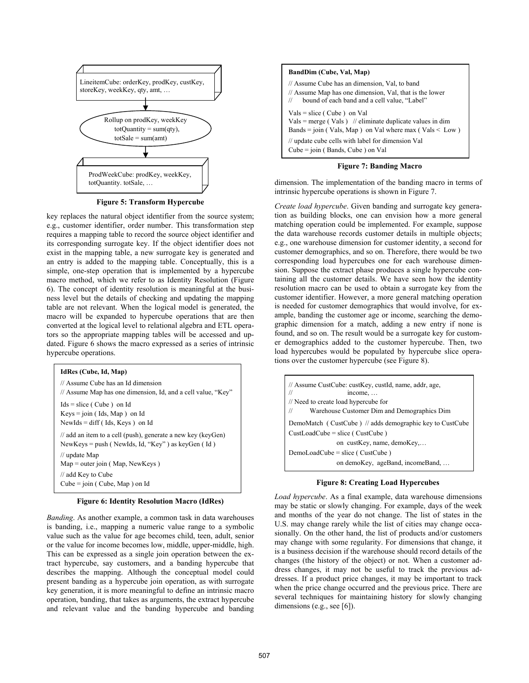

**Figure 5: Transform Hypercube** 

key replaces the natural object identifier from the source system; e.g., customer identifier, order number. This transformation step requires a mapping table to record the source object identifier and its corresponding surrogate key. If the object identifier does not exist in the mapping table, a new surrogate key is generated and an entry is added to the mapping table. Conceptually, this is a simple, one-step operation that is implemented by a hypercube macro method, which we refer to as Identity Resolution (Figure 6). The concept of identity resolution is meaningful at the business level but the details of checking and updating the mapping table are not relevant. When the logical model is generated, the macro will be expanded to hypercube operations that are then converted at the logical level to relational algebra and ETL operators so the appropriate mapping tables will be accessed and updated. Figure 6 shows the macro expressed as a series of intrinsic hypercube operations.

#### **IdRes (Cube, Id, Map)**

| // Assume Cube has an Id dimension<br>// Assume Map has one dimension, Id, and a cell value, "Key"                               |
|----------------------------------------------------------------------------------------------------------------------------------|
| $Ids = slice (Cube) on Id$<br>$Keys = join (Ids, Map) on Id$<br>NewIds = $diff$ (Ids, Keys) on Id                                |
| $\frac{1}{2}$ add an item to a cell (push), generate a new key (keyGen)<br>NewKeys = push ( $NewIds$ , Id, "Key") as keyGen (Id) |
| // update Map<br>$Map = outer join (Map, NewKeywords)$<br>// add Key to Cube<br>$Cube = join (Cube, Map) on Id$                  |

#### **Figure 6: Identity Resolution Macro (IdRes)**

*Banding*. As another example, a common task in data warehouses is banding, i.e., mapping a numeric value range to a symbolic value such as the value for age becomes child, teen, adult, senior or the value for income becomes low, middle, upper-middle, high. This can be expressed as a single join operation between the extract hypercube, say customers, and a banding hypercube that describes the mapping. Although the conceptual model could present banding as a hypercube join operation, as with surrogate key generation, it is more meaningful to define an intrinsic macro operation, banding, that takes as arguments, the extract hypercube and relevant value and the banding hypercube and banding



#### **Figure 7: Banding Macro**

dimension. The implementation of the banding macro in terms of intrinsic hypercube operations is shown in Figure 7.

*Create load hypercube*. Given banding and surrogate key generation as building blocks, one can envision how a more general matching operation could be implemented. For example, suppose the data warehouse records customer details in multiple objects; e.g., one warehouse dimension for customer identity, a second for customer demographics, and so on. Therefore, there would be two corresponding load hypercubes one for each warehouse dimension. Suppose the extract phase produces a single hypercube containing all the customer details. We have seen how the identity resolution macro can be used to obtain a surrogate key from the customer identifier. However, a more general matching operation is needed for customer demographics that would involve, for example, banding the customer age or income, searching the demographic dimension for a match, adding a new entry if none is found, and so on. The result would be a surrogate key for customer demographics added to the customer hypercube. Then, two load hypercubes would be populated by hypercube slice operations over the customer hypercube (see Figure 8).



#### **Figure 8: Creating Load Hypercubes**

*Load hypercube*. As a final example, data warehouse dimensions may be static or slowly changing. For example, days of the week and months of the year do not change. The list of states in the U.S. may change rarely while the list of cities may change occasionally. On the other hand, the list of products and/or customers may change with some regularity. For dimensions that change, it is a business decision if the warehouse should record details of the changes (the history of the object) or not. When a customer address changes, it may not be useful to track the previous addresses. If a product price changes, it may be important to track when the price change occurred and the previous price. There are several techniques for maintaining history for slowly changing dimensions (e.g., see [6]).